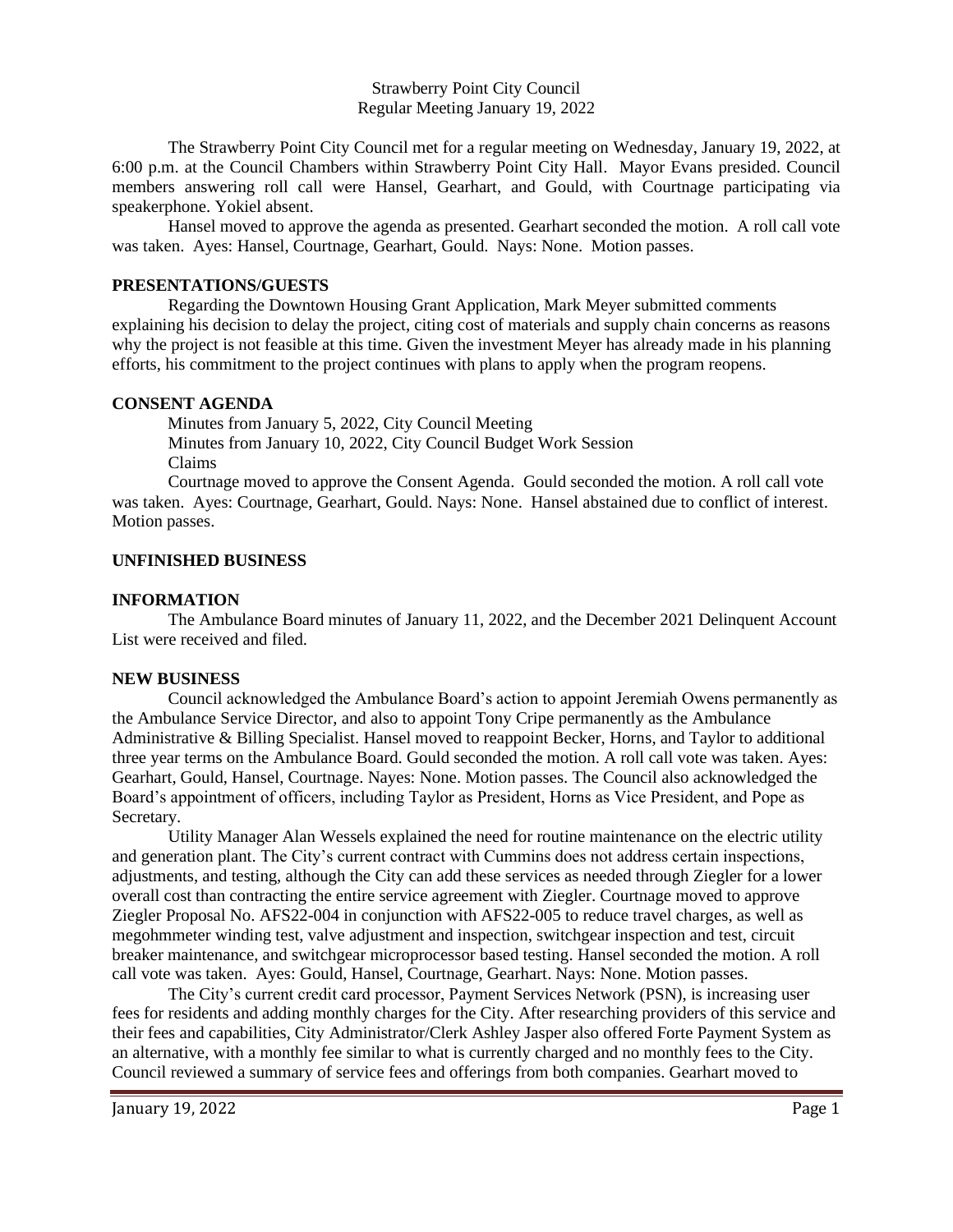Strawberry Point City Council Regular Meeting January 19, 2022

The Strawberry Point City Council met for a regular meeting on Wednesday, January 19, 2022, at 6:00 p.m. at the Council Chambers within Strawberry Point City Hall. Mayor Evans presided. Council members answering roll call were Hansel, Gearhart, and Gould, with Courtnage participating via speakerphone. Yokiel absent.

Hansel moved to approve the agenda as presented. Gearhart seconded the motion. A roll call vote was taken. Ayes: Hansel, Courtnage, Gearhart, Gould. Nays: None. Motion passes.

## **PRESENTATIONS/GUESTS**

Regarding the Downtown Housing Grant Application, Mark Meyer submitted comments explaining his decision to delay the project, citing cost of materials and supply chain concerns as reasons why the project is not feasible at this time. Given the investment Meyer has already made in his planning efforts, his commitment to the project continues with plans to apply when the program reopens.

## **CONSENT AGENDA**

 Minutes from January 5, 2022, City Council Meeting Minutes from January 10, 2022, City Council Budget Work Session Claims

Courtnage moved to approve the Consent Agenda. Gould seconded the motion. A roll call vote was taken. Ayes: Courtnage, Gearhart, Gould. Nays: None. Hansel abstained due to conflict of interest. Motion passes.

## **UNFINISHED BUSINESS**

## **INFORMATION**

The Ambulance Board minutes of January 11, 2022, and the December 2021 Delinquent Account List were received and filed.

#### **NEW BUSINESS**

Council acknowledged the Ambulance Board's action to appoint Jeremiah Owens permanently as the Ambulance Service Director, and also to appoint Tony Cripe permanently as the Ambulance Administrative & Billing Specialist. Hansel moved to reappoint Becker, Horns, and Taylor to additional three year terms on the Ambulance Board. Gould seconded the motion. A roll call vote was taken. Ayes: Gearhart, Gould, Hansel, Courtnage. Nayes: None. Motion passes. The Council also acknowledged the Board's appointment of officers, including Taylor as President, Horns as Vice President, and Pope as Secretary.

Utility Manager Alan Wessels explained the need for routine maintenance on the electric utility and generation plant. The City's current contract with Cummins does not address certain inspections, adjustments, and testing, although the City can add these services as needed through Ziegler for a lower overall cost than contracting the entire service agreement with Ziegler. Courtnage moved to approve Ziegler Proposal No. AFS22-004 in conjunction with AFS22-005 to reduce travel charges, as well as megohmmeter winding test, valve adjustment and inspection, switchgear inspection and test, circuit breaker maintenance, and switchgear microprocessor based testing. Hansel seconded the motion. A roll call vote was taken. Ayes: Gould, Hansel, Courtnage, Gearhart. Nays: None. Motion passes.

The City's current credit card processor, Payment Services Network (PSN), is increasing user fees for residents and adding monthly charges for the City. After researching providers of this service and their fees and capabilities, City Administrator/Clerk Ashley Jasper also offered Forte Payment System as an alternative, with a monthly fee similar to what is currently charged and no monthly fees to the City. Council reviewed a summary of service fees and offerings from both companies. Gearhart moved to